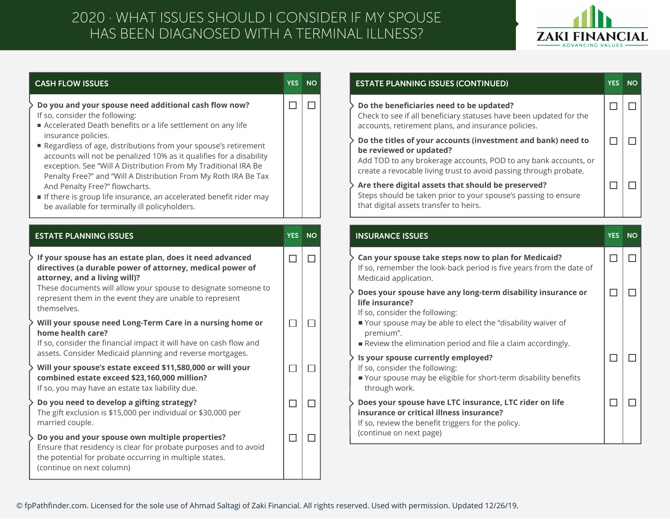## 2020 · WHAT ISSUES SHOULD I CONSIDER IF MY SPOUSE HAS BEEN DIAGNOSED WITH A TERMINAL ILLNESS?



## **CASH FLOW ISSUES**

**YES NO**

 $\Box$ 

 $\Box$ 

**Do you and your spouse need additional cash flow now?** If so, consider the following:

- Accelerated Death benefits or a life settlement on any life insurance policies.
- Regardless of age, distributions from your spouse's retirement accounts will not be penalized 10% as it qualifies for a disability exception. See "Will A Distribution From My Traditional IRA Be Penalty Free?" and "Will A Distribution From My Roth IRA Be Tax And Penalty Free?" flowcharts.
- If there is group life insurance, an accelerated benefit rider may be available for terminally ill policyholders.

| <b>ESTATE PLANNING ISSUES</b>                                                                                                                                                                                                                                                                       | <b>YES</b> | <b>NO</b> |
|-----------------------------------------------------------------------------------------------------------------------------------------------------------------------------------------------------------------------------------------------------------------------------------------------------|------------|-----------|
| If your spouse has an estate plan, does it need advanced<br>directives (a durable power of attorney, medical power of<br>attorney, and a living will)?<br>These documents will allow your spouse to designate someone to<br>represent them in the event they are unable to represent<br>themselves. |            |           |
| Will your spouse need Long-Term Care in a nursing home or<br>home health care?<br>If so, consider the financial impact it will have on cash flow and<br>assets. Consider Medicaid planning and reverse mortgages.                                                                                   |            |           |
| Will your spouse's estate exceed \$11,580,000 or will your<br>combined estate exceed \$23,160,000 million?<br>If so, you may have an estate tax liability due.                                                                                                                                      |            |           |
| Do you need to develop a gifting strategy?<br>The gift exclusion is \$15,000 per individual or \$30,000 per<br>married couple.                                                                                                                                                                      |            |           |
| Do you and your spouse own multiple properties?<br>Ensure that residency is clear for probate purposes and to avoid<br>the potential for probate occurring in multiple states.<br>(continue on next column)                                                                                         |            |           |
|                                                                                                                                                                                                                                                                                                     |            |           |

| <b>ESTATE PLANNING ISSUES (CONTINUED)</b>                                                                                                                                                                                       | <b>YES</b> | <b>NO</b> |
|---------------------------------------------------------------------------------------------------------------------------------------------------------------------------------------------------------------------------------|------------|-----------|
| Do the beneficiaries need to be updated?<br>Check to see if all beneficiary statuses have been updated for the<br>accounts, retirement plans, and insurance policies.                                                           |            |           |
| Do the titles of your accounts (investment and bank) need to<br>be reviewed or updated?<br>Add TOD to any brokerage accounts, POD to any bank accounts, or<br>create a revocable living trust to avoid passing through probate. |            |           |
| Are there digital assets that should be preserved?<br>Steps should be taken prior to your spouse's passing to ensure<br>that digital assets transfer to heirs.                                                                  |            |           |

| ESTATE PLANNING ISSUES                                                                                                                                                                                                                                                                              |        | YES NO | <b>INSURANCE ISSUES</b>                                                                                                                                                                                                                                                  | YES.             | NO               |
|-----------------------------------------------------------------------------------------------------------------------------------------------------------------------------------------------------------------------------------------------------------------------------------------------------|--------|--------|--------------------------------------------------------------------------------------------------------------------------------------------------------------------------------------------------------------------------------------------------------------------------|------------------|------------------|
| If your spouse has an estate plan, does it need advanced<br>directives (a durable power of attorney, medical power of<br>attorney, and a living will)?<br>These documents will allow your spouse to designate someone to<br>represent them in the event they are unable to represent<br>themselves. | $\Box$ | 门<br>  | Can your spouse take steps now to plan for Medicaid?<br>If so, remember the look-back period is five years from the date of<br>Medicaid application.<br>Does your spouse have any long-term disability insurance or<br>life insurance?<br>If so, consider the following: | $\Box$<br>$\Box$ | $\Box$<br>$\Box$ |
| Will your spouse need Long-Term Care in a nursing home or<br>home health care?<br>If so, consider the financial impact it will have on cash flow and<br>assets. Consider Medicaid planning and reverse mortgages.                                                                                   | г      | ┓      | Your spouse may be able to elect the "disability waiver of<br>premium".<br>Review the elimination period and file a claim accordingly.<br>Is your spouse currently employed?                                                                                             | $\Box$           |                  |
| Will your spouse's estate exceed \$11,580,000 or will your<br>combined estate exceed \$23,160,000 million?<br>If so, you may have an estate tax liability due.                                                                                                                                      | Γ      | $\Box$ | If so, consider the following:<br>Your spouse may be eligible for short-term disability benefits<br>through work.                                                                                                                                                        |                  |                  |
| Do you need to develop a gifting strategy?<br>The gift exclusion is \$15,000 per individual or \$30,000 per<br>married couple.                                                                                                                                                                      | Г      | $\Box$ | Does your spouse have LTC insurance, LTC rider on life<br>insurance or critical illness insurance?<br>If so, review the benefit triggers for the policy.                                                                                                                 | $\Box$           | $\Box$           |
| Do you and your spouse own multiple properties?<br>Encurathet residency is clear for probate purposes and to avoid                                                                                                                                                                                  | ⊏      | $\Box$ | (continue on next page)                                                                                                                                                                                                                                                  |                  |                  |